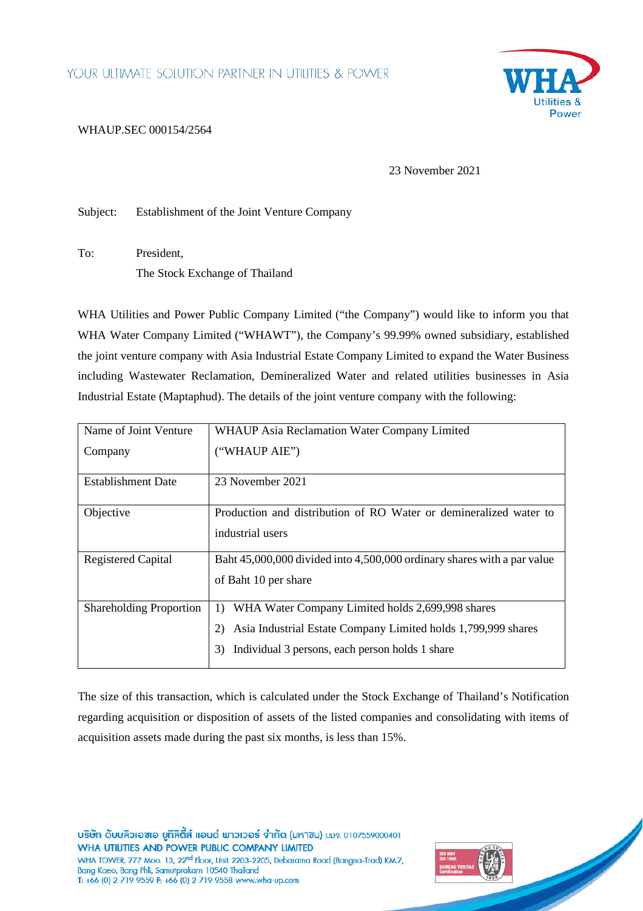

## [WHAUP.SEC 000154/2564](https://apps.wha-group.com/whaup/_layouts/15/listform.aspx?PageType=4&ListId=%7BC28D9BA5%2DF99B%2D4C0C%2D8A08%2D3C1E50CF4936%7D&ID=472&ContentTypeID=0x01004655B50F65AA694FA8B6F7EF98D624DE)

23 November 2021

Subject: Establishment of the Joint Venture Company

To: President, The Stock Exchange of Thailand

WHA Utilities and Power Public Company Limited ("the Company") would like to inform you that WHA Water Company Limited ("WHAWT"), the Company's 99.99% owned subsidiary, established the joint venture company with Asia Industrial Estate Company Limited to expand the Water Business including Wastewater Reclamation, Demineralized Water and related utilities businesses in Asia Industrial Estate (Maptaphud). The details of the joint venture company with the following:

| Name of Joint Venture          | <b>WHAUP Asia Reclamation Water Company Limited</b>                                                                                                                                    |
|--------------------------------|----------------------------------------------------------------------------------------------------------------------------------------------------------------------------------------|
| Company                        | ("WHAUP AIE")                                                                                                                                                                          |
| Establishment Date             | 23 November 2021                                                                                                                                                                       |
| Objective                      | Production and distribution of RO Water or demineralized water to<br>industrial users                                                                                                  |
| <b>Registered Capital</b>      | Baht 45,000,000 divided into 4,500,000 ordinary shares with a par value<br>of Baht 10 per share                                                                                        |
| <b>Shareholding Proportion</b> | WHA Water Company Limited holds 2,699,998 shares<br>1)<br>Asia Industrial Estate Company Limited holds 1,799,999 shares<br>2)<br>Individual 3 persons, each person holds 1 share<br>3) |

The size of this transaction, which is calculated under the Stock Exchange of Thailand's Notification regarding acquisition or disposition of assets of the listed companies and consolidating with items of acquisition assets made during the past six months, is less than 15%.

บริษัท ดับบลิวเอซเอ ยูทิลิตี้ส์ แอนด์ พาวเวอร์ จำกัด (มหาชน) บมจ. 0107559000401 WHA UTILITIES AND POWER PUBLIC COMPANY LIMITED WHA TOWER, 777 Moo. 13, 22<sup>nd</sup> Floor, Unit 2203-2205, Debaratna Road (Bangna-Trad) KM.7, Bang Kaeo, Bang Phli, Samutprakarn 10540 Thailand T: +66 (0) 2 719 9559 F: +66 (0) 2 719 9558 www.wha-up.com